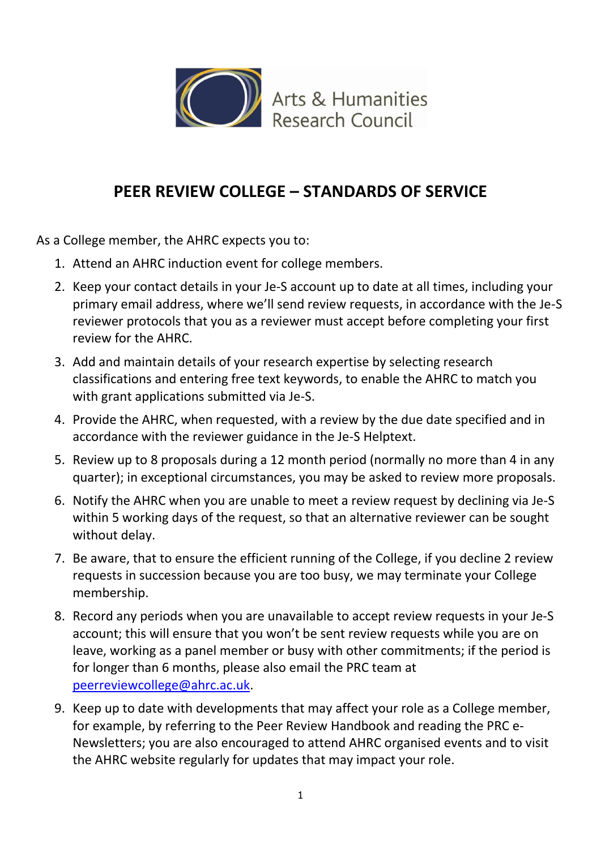

## **PEER REVIEW COLLEGE – STANDARDS OF SERVICE**

As a College member, the AHRC expects you to:

- 1. Attend an AHRC induction event for college members.
- 2. Keep your contact details in your Je-S account up to date at all times, including your primary email address, where we'll send review requests, in accordance with the Je-S reviewer protocols that you as a reviewer must accept before completing your first review for the AHRC.
- 3. Add and maintain details of your research expertise by selecting research classifications and entering free text keywords, to enable the AHRC to match you with grant applications submitted via Je-S.
- 4. Provide the AHRC, when requested, with a review by the due date specified and in accordance with the reviewer guidance in the Je-S Helptext.
- 5. Review up to 8 proposals during a 12 month period (normally no more than 4 in any quarter); in exceptional circumstances, you may be asked to review more proposals.
- 6. Notify the AHRC when you are unable to meet a review request by declining via Je-S within 5 working days of the request, so that an alternative reviewer can be sought without delay.
- 7. Be aware, that to ensure the efficient running of the College, if you decline 2 review requests in succession because you are too busy, we may terminate your College membership.
- 8. Record any periods when you are unavailable to accept review requests in your Je-S account; this will ensure that you won't be sent review requests while you are on leave, working as a panel member or busy with other commitments; if the period is for longer than 6 months, please also email the PRC team at [peerreviewcollege@ahrc.ac.uk.](mailto:peerreviewcollege@ahrc.ac.uk)
- 9. Keep up to date with developments that may affect your role as a College member, for example, by referring to the Peer Review Handbook and reading the PRC e-Newsletters; you are also encouraged to attend AHRC organised events and to visit the AHRC website regularly for updates that may impact your role.